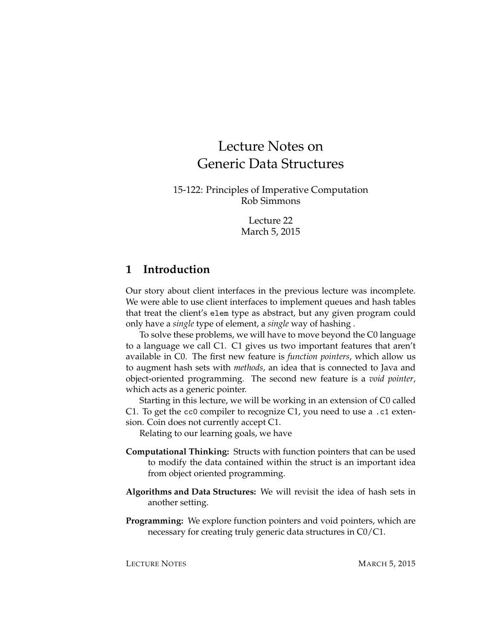# Lecture Notes on Generic Data Structures

15-122: Principles of Imperative Computation Rob Simmons

> Lecture 22 March 5, 2015

#### **1 Introduction**

Our story about client interfaces in the previous lecture was incomplete. We were able to use client interfaces to implement queues and hash tables that treat the client's elem type as abstract, but any given program could only have a *single* type of element, a *single* way of hashing .

To solve these problems, we will have to move beyond the C0 language to a language we call C1. C1 gives us two important features that aren't available in C0. The first new feature is *function pointers*, which allow us to augment hash sets with *methods*, an idea that is connected to Java and object-oriented programming. The second new feature is a *void pointer*, which acts as a generic pointer.

Starting in this lecture, we will be working in an extension of C0 called C1. To get the cc0 compiler to recognize C1, you need to use a .c1 extension. Coin does not currently accept C1.

Relating to our learning goals, we have

- **Computational Thinking:** Structs with function pointers that can be used to modify the data contained within the struct is an important idea from object oriented programming.
- **Algorithms and Data Structures:** We will revisit the idea of hash sets in another setting.
- **Programming:** We explore function pointers and void pointers, which are necessary for creating truly generic data structures in C0/C1.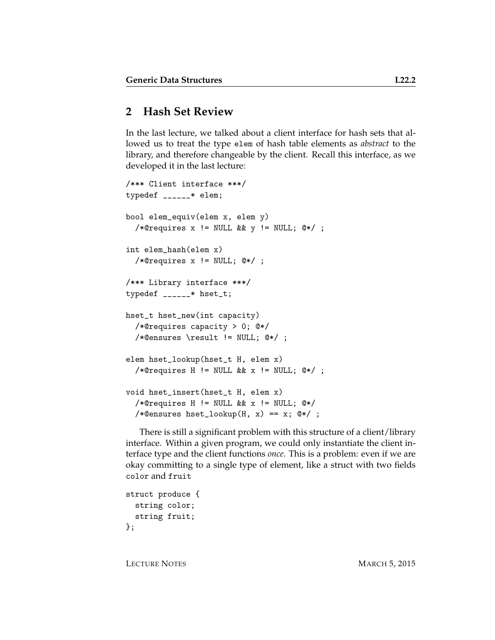# **2 Hash Set Review**

In the last lecture, we talked about a client interface for hash sets that allowed us to treat the type elem of hash table elements as *abstract* to the library, and therefore changeable by the client. Recall this interface, as we developed it in the last lecture:

```
/*** Client interface ***/
typedef ______* elem;
bool elem_equiv(elem x, elem y)
  /*@requires x != NULL && y != NULL; @*/ ;
int elem_hash(elem x)
  /*@requires x != NULL; @*/ ;
/*** Library interface ***/
typedef ______* hset_t;
hset_t hset_new(int capacity)
  /*@requires capacity > 0; @*/
  /*@ensures \result != NULL; @*/ ;
elem hset_lookup(hset_t H, elem x)
  /*@requires H != NULL && x != NULL; @*/;
void hset_insert(hset_t H, elem x)
  /*@requires H != NULL && x != NULL; @*/
  /*@ensures hset_lookup(H, x) == x; @*/ ;
```
There is still a significant problem with this structure of a client/library interface. Within a given program, we could only instantiate the client interface type and the client functions *once*. This is a problem: even if we are okay committing to a single type of element, like a struct with two fields color and fruit

```
struct produce {
  string color;
 string fruit;
};
```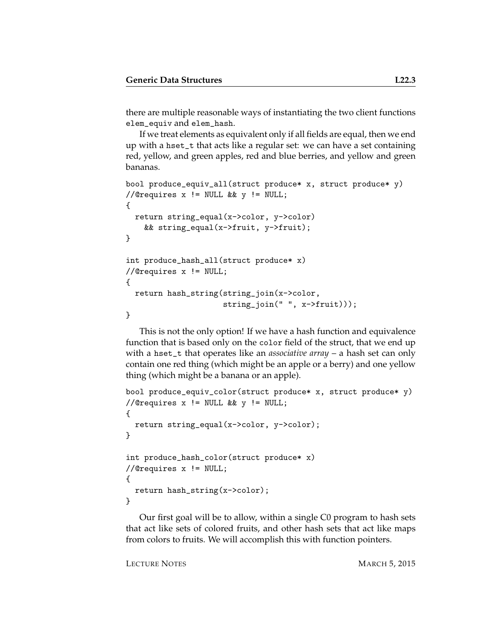there are multiple reasonable ways of instantiating the two client functions elem\_equiv and elem\_hash.

If we treat elements as equivalent only if all fields are equal, then we end up with a hset\_t that acts like a regular set: we can have a set containing red, yellow, and green apples, red and blue berries, and yellow and green bananas.

```
bool produce_equiv_all(struct produce* x, struct produce* y)
//@requires x != NULL && y != NULL;
{
  return string_equal(x->color, y->color)
   && string_equal(x->fruit, y->fruit);
}
int produce_hash_all(struct produce* x)
//@requires x != NULL;
{
 return hash_string(string_join(x->color,
                     string_join(" ", x->fruit)));
}
```
This is not the only option! If we have a hash function and equivalence function that is based only on the color field of the struct, that we end up with a hset\_t that operates like an *associative array* – a hash set can only contain one red thing (which might be an apple or a berry) and one yellow thing (which might be a banana or an apple).

```
bool produce_equiv_color(struct produce* x, struct produce* y)
//@requires x != NULL && y != NULL;
{
 return string_equal(x->color, y->color);
}
int produce_hash_color(struct produce* x)
//@requires x != NULL;
{
  return hash_string(x->color);
}
```
Our first goal will be to allow, within a single C0 program to hash sets that act like sets of colored fruits, and other hash sets that act like maps from colors to fruits. We will accomplish this with function pointers.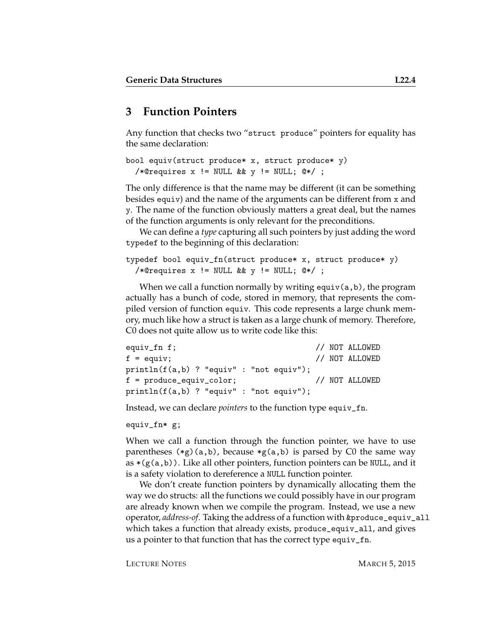### **3 Function Pointers**

Any function that checks two "struct produce" pointers for equality has the same declaration:

```
bool equiv(struct produce* x, struct produce* y)
  /*@requires x != NULL && y != NULL; @*/ ;
```
The only difference is that the name may be different (it can be something besides equiv) and the name of the arguments can be different from x and y. The name of the function obviously matters a great deal, but the names of the function arguments is only relevant for the preconditions.

We can define a *type* capturing all such pointers by just adding the word typedef to the beginning of this declaration:

```
typedef bool equiv_fn(struct produce* x, struct produce* y)
  /*@requires x != NULL && y != NULL; @*/ ;
```
When we call a function normally by writing equiv(a, b), the program actually has a bunch of code, stored in memory, that represents the compiled version of function equiv. This code represents a large chunk memory, much like how a struct is taken as a large chunk of memory. Therefore, C0 does not quite allow us to write code like this:

```
equiv_fn f; \frac{1}{2} // NOT ALLOWED
f = equiv; // NOT ALLOWED
println(f(a,b) ? "equiv" : "not equiv");
f = produce_equiv_color; // NOT ALLOWED
println(f(a,b) ? "equiv" : "not equiv");
```
Instead, we can declare *pointers* to the function type equiv\_fn.

```
equiv_fn* g;
```
When we call a function through the function pointer, we have to use parentheses  $(*g)(a,b)$ , because  $*_g(a,b)$  is parsed by C0 the same way as  $*(g(a,b))$ . Like all other pointers, function pointers can be NULL, and it is a safety violation to dereference a NULL function pointer.

We don't create function pointers by dynamically allocating them the way we do structs: all the functions we could possibly have in our program are already known when we compile the program. Instead, we use a new operator, *address-of*. Taking the address of a function with &produce\_equiv\_all which takes a function that already exists, produce\_equiv\_all, and gives us a pointer to that function that has the correct type equiv\_fn.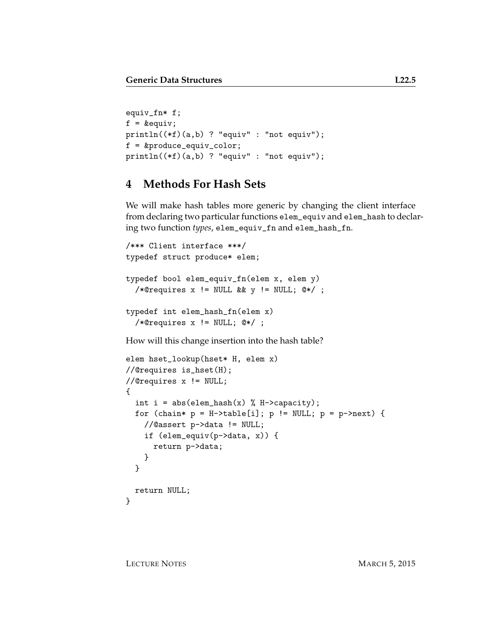```
equiv_fn* f;
f = \≡println((*f)(a,b) ? "equiv" : "not equiv");
f = &produce_equiv_color;
println((*f)(a,b) ? "equiv" : "not equiv");
```
#### **4 Methods For Hash Sets**

We will make hash tables more generic by changing the client interface from declaring two particular functions elem\_equiv and elem\_hash to declaring two function *types*, elem\_equiv\_fn and elem\_hash\_fn.

```
/*** Client interface ***/
typedef struct produce* elem;
typedef bool elem_equiv_fn(elem x, elem y)
  /*@requires x != NULL && y != NULL; @*/ ;
typedef int elem_hash_fn(elem x)
  /*@requires x != NULL; @*/ ;
How will this change insertion into the hash table?
elem hset_lookup(hset* H, elem x)
//@requires is_hset(H);
//@requires x != NULL;
{
```

```
int i = abs(elem\_hash(x) % H->capacity);for (chain* p = H-\text{stable}[i]; p := NULL; p = p-\text{next}) {
    //@assert p->data != NULL;
    if (elem_equiv(p->data, x)) {
      return p->data;
    }
  }
  return NULL;
}
```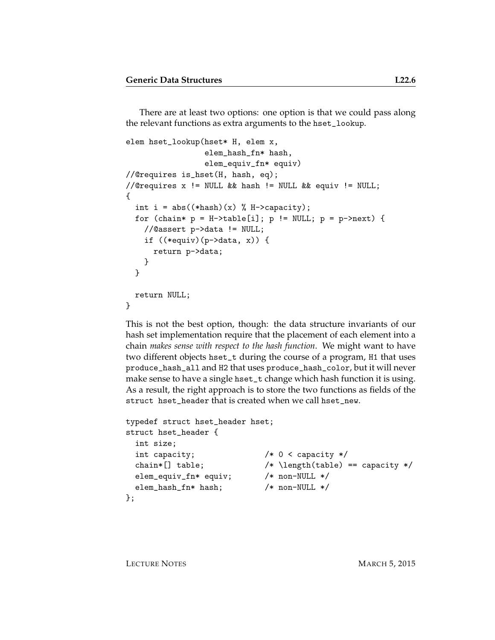There are at least two options: one option is that we could pass along the relevant functions as extra arguments to the hset\_lookup.

```
elem hset_lookup(hset* H, elem x,
                  elem_hash_fn* hash,
                  elem_equiv_fn* equiv)
//@requires is_hset(H, hash, eq);
//@requires x != NULL && hash != NULL && equiv != NULL;
{
  int i = abs((*hash)(x) % H-> capacity);for (chain* p = H-\text{stable}[i]; p := NULL; p = p-\text{next}) {
    //@assert p->data != NULL;
    if ((*equiv)(p->data, x)) {
      return p->data;
    }
  }
 return NULL;
}
```
This is not the best option, though: the data structure invariants of our hash set implementation require that the placement of each element into a chain *makes sense with respect to the hash function*. We might want to have two different objects hset\_t during the course of a program, H1 that uses produce\_hash\_all and H2 that uses produce\_hash\_color, but it will never make sense to have a single hset\_t change which hash function it is using. As a result, the right approach is to store the two functions as fields of the struct hset\_header that is created when we call hset\_new.

```
typedef struct hset_header hset;
struct hset_header {
 int size;
 int capacity; /* 0 < capacity */
 chain*[] table; /* \left(\frac{\text{table}}{\text{table}}\right) == \text{capacity} */elem_equiv_fn* equiv; /* non-NULL */
 elem_hash_fn* hash; /* non-NULL */
};
```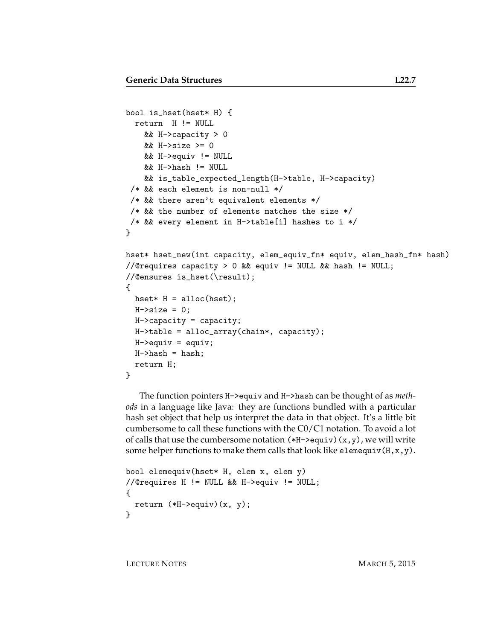```
bool is_hset(hset* H) {
  return H != NULL
    && H->capacity > 0
    && H->size >= 0
    && H->equiv != NULL
    && H->hash != NULL
    && is_table_expected_length(H->table, H->capacity)
 /* && each element is non-null */
 /* && there aren't equivalent elements */
/* && the number of elements matches the size *//* && every element in H->table[i] hashes to i */
}
hset* hset_new(int capacity, elem_equiv_fn* equiv, elem_hash_fn* hash)
//@requires capacity > 0 && equiv != NULL && hash != NULL;
//@ensures is_hset(\result);
{
 hset* H = \text{alloc}(\text{hset});
 H->size = 0;
 H->capacity = capacity;
 H->table = alloc_array(chain*, capacity);
 H->equiv = equiv;
 H-\lambdahash = hash;
  return H;
}
```
The function pointers H->equiv and H->hash can be thought of as *methods* in a language like Java: they are functions bundled with a particular hash set object that help us interpret the data in that object. It's a little bit cumbersome to call these functions with the C0/C1 notation. To avoid a lot of calls that use the cumbersome notation  $(*H\rightarrow\text{equiv}) (x,y)$ , we will write some helper functions to make them calls that look like elemequiv( $H, x, y$ ).

```
bool elemequiv(hset* H, elem x, elem y)
//@requires H != NULL && H->equiv != NULL;
{
 return (*H->equiv(v)(x, y);}
```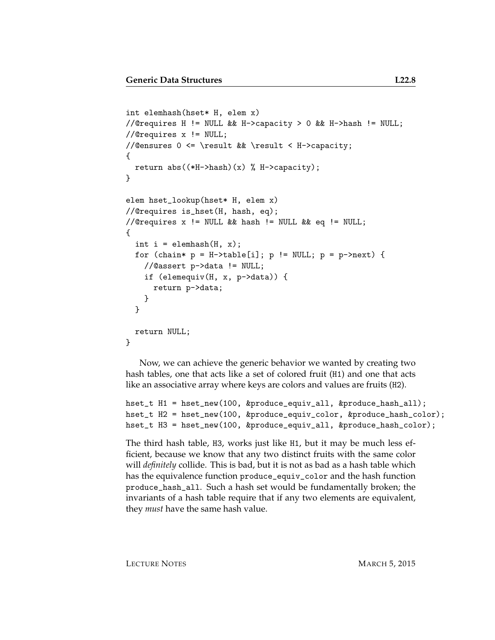```
int elemhash(hset* H, elem x)
//@requires H != NULL && H->capacity > 0 && H->hash != NULL;
//@requires x != NULL;
//@ensures 0 <= \result && \result < H->capacity;
{
  return abs((*H->hash)(x) % H->capacity);
}
elem hset_lookup(hset* H, elem x)
//@requires is_hset(H, hash, eq);
//@requires x != NULL && hash != NULL && eq != NULL;
{
  int i = element(H, x);
  for (chain* p = H-\text{stable}[i]; p := NULL; p = p-\text{next}) {
   //@assert p->data != NULL;
    if (elemequiv(H, x, p->data)) {
      return p->data;
   }
  }
  return NULL;
}
```
Now, we can achieve the generic behavior we wanted by creating two hash tables, one that acts like a set of colored fruit (H1) and one that acts like an associative array where keys are colors and values are fruits (H2).

```
hset_t H1 = hset_new(100, &produce_equiv_all, &produce_hash_all);
hset_t H2 = hset_new(100, &produce_equiv_color, &produce_hash_color);
hset_t H3 = hset_new(100, &produce_equiv_all, &produce_hash_color);
```
The third hash table, H3, works just like H1, but it may be much less efficient, because we know that any two distinct fruits with the same color will *definitely* collide. This is bad, but it is not as bad as a hash table which has the equivalence function produce\_equiv\_color and the hash function produce\_hash\_all. Such a hash set would be fundamentally broken; the invariants of a hash table require that if any two elements are equivalent, they *must* have the same hash value.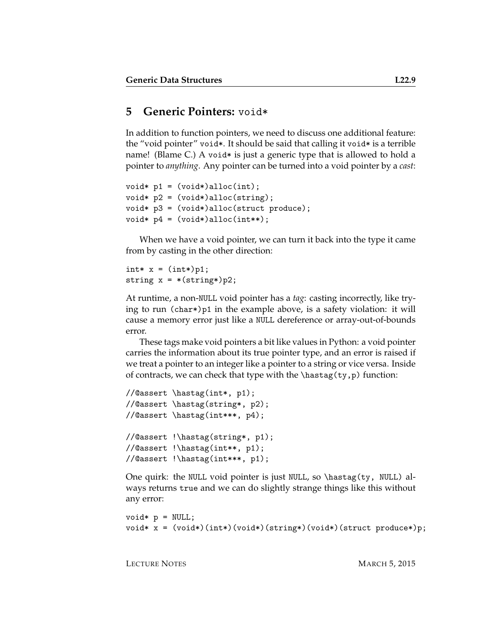#### **5 Generic Pointers:** void\*

In addition to function pointers, we need to discuss one additional feature: the "void pointer" void\*. It should be said that calling it void\* is a terrible name! (Blame C.) A void\* is just a generic type that is allowed to hold a pointer to *anything*. Any pointer can be turned into a void pointer by a *cast*:

```
void* p1 = (void*)alloc(int);
void* p2 = (void*)alloc(string);
void* p3 = (void*)alloc(struct produce);
void* p4 = (void*)alloc(int**);
```
When we have a void pointer, we can turn it back into the type it came from by casting in the other direction:

```
int* x = (int*)p1;string x = *(string*)p2;
```
At runtime, a non-NULL void pointer has a *tag*: casting incorrectly, like trying to run (char\*)p1 in the example above, is a safety violation: it will cause a memory error just like a NULL dereference or array-out-of-bounds error.

These tags make void pointers a bit like values in Python: a void pointer carries the information about its true pointer type, and an error is raised if we treat a pointer to an integer like a pointer to a string or vice versa. Inside of contracts, we can check that type with the  $\hbar$ stag(ty,p) function:

```
//@assert \hastag(int*, p1);
//@assert \hastag(string*, p2);
//@assert \hastag(int***, p4);
//@assert !\hastag(string*, p1);
//@assert !\hastag(int**, p1);
//@assert !\hastag(int***, p1);
```
One quirk: the NULL void pointer is just NULL, so \hastag(ty, NULL) always returns true and we can do slightly strange things like this without any error:

```
void * p = NULL;void* x = (void*)(int*)(void*)(string*)(void*)(struct produce*)p;
```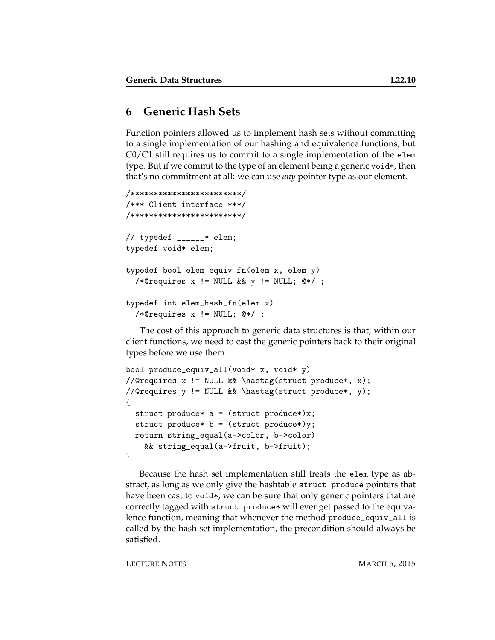## **6 Generic Hash Sets**

Function pointers allowed us to implement hash sets without committing to a single implementation of our hashing and equivalence functions, but  $C0/C1$  still requires us to commit to a single implementation of the elem type. But if we commit to the type of an element being a generic void\*, then that's no commitment at all: we can use *any* pointer type as our element.

```
/************************/
/*** Client interface ***/
/************************/
// typedef _{---}* elem;
typedef void* elem;
typedef bool elem_equiv_fn(elem x, elem y)
  /*@requires x != NULL && y != NULL; @*/ ;
typedef int elem_hash_fn(elem x)
  /*@requires x != NULL; @*/ ;
```
The cost of this approach to generic data structures is that, within our client functions, we need to cast the generic pointers back to their original types before we use them.

```
bool produce_equiv_all(void* x, void* y)
//@requires x != NULL && \hastag(struct produce*, x);
//@requires y != NULL && \hastag(struct produce*, y);
{
 struct produce* a = (struct produce*)x;struct produce* b = (struct product)y;
 return string_equal(a->color, b->color)
   && string_equal(a->fruit, b->fruit);
}
```
Because the hash set implementation still treats the elem type as abstract, as long as we only give the hashtable struct produce pointers that have been cast to void\*, we can be sure that only generic pointers that are correctly tagged with struct produce\* will ever get passed to the equivalence function, meaning that whenever the method produce\_equiv\_all is called by the hash set implementation, the precondition should always be satisfied.